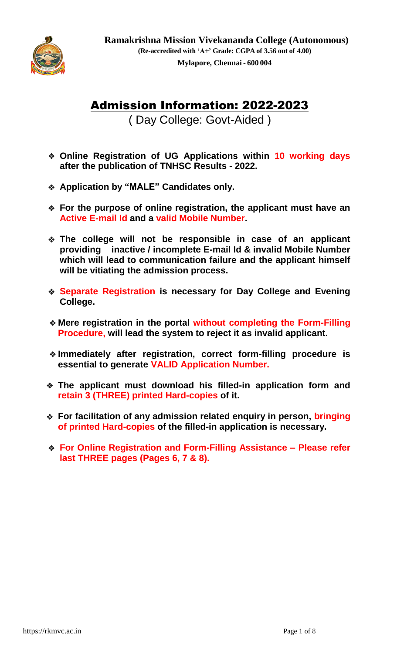

# Admission Information: 2022-2023

( Day College: Govt-Aided )

- **Online Registration of UG Applications within 10 working days after the publication of TNHSC Results - 2022.**
- **Application by "MALE" Candidates only.**
- **For the purpose of online registration, the applicant must have an Active E-mail Id and a valid Mobile Number.**
- **The college will not be responsible in case of an applicant providing inactive / incomplete E-mail Id & invalid Mobile Number which will lead to communication failure and the applicant himself will be vitiating the admission process.**
- **Separate Registration is necessary for Day College and Evening College.**
- **Mere registration in the portal without completing the Form-Filling Procedure, will lead the system to reject it as invalid applicant.**
- **Immediately after registration, correct form-filling procedure is essential to generate VALID Application Number.**
- **The applicant must download his filled-in application form and retain 3 (THREE) printed Hard-copies of it.**
- **For facilitation of any admission related enquiry in person, bringing of printed Hard-copies of the filled-in application is necessary.**
- **For Online Registration and Form-Filling Assistance – Please refer last THREE pages (Pages 6, 7 & 8).**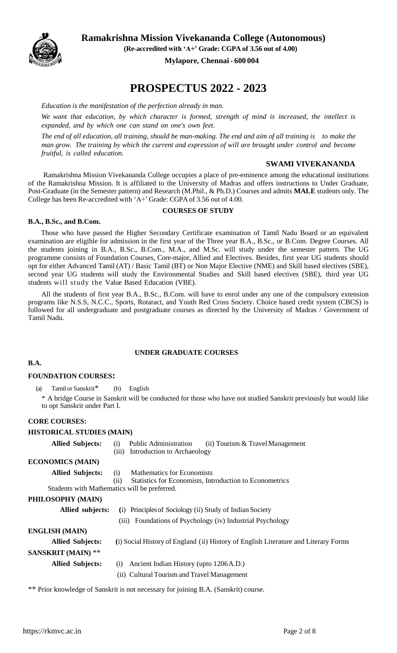

 **Ramakrishna Mission Vivekananda College (Autonomous)**

 **(Re-accredited with 'A+' Grade: CGPA of 3.56 out of 4.00)** 

 **Mylapore, Chennai- 600 004**

# **PROSPECTUS 2022 - 2023**

*Education is the manifestation of the perfection already in man.*

*We want that education, by which character is formed, strength of mind is increased, the intellect is expanded, and by which one can stand on one's own feet.*

*The end of all education, all training, should be man-making. The end and aim of all training is to make the man grow. The training by which the current and expression of will are brought under control and become fruitful, is called education.*

#### **SWAMI VIVEKANANDA**

Ramakrishna Mission Vivekananda College occupies a place of pre-eminence among the educational institutions of the Ramakrishna Mission. It is affiliated to the University of Madras and offers instructions to Under Graduate, Post-Graduate (in the Semester pattern) and Research (M.Phil., & Ph.D.) Courses and admits **MALE** students only. The College has been Re-accredited with 'A+' Grade: CGPA of 3.56 out of 4.00.

#### **COURSES OF STUDY**

#### **B.A., B.Sc., and B.Com.**

Those who have passed the Higher Secondary Certificate examination of Tamil Nadu Board or an equivalent examination are eligible for admission in the first year of the Three year B.A., B.Sc., or B.Com. Degree Courses. All the students joining in B.A., B.Sc., B.Com., M.A., and M.Sc. will study under the semester pattern. The UG programme consists of Foundation Courses, Core-major, Allied and Electives. Besides, first year UG students should opt for either Advanced Tamil (AT) / Basic Tamil (BT) or Non Major Elective (NME) and Skill based electives (SBE), second year UG students will study the Environmental Studies and Skill based electives (SBE), third year UG students will study the Value Based Education (VBE).

All the students of first year B.A., B.Sc., B.Com. will have to enrol under any one of the compulsory extension programs like N.S.S, N.C.C., Sports, Rotaract, and Youth Red Cross Society. Choice based credit system (CBCS) is followed for all undergraduate and postgraduate courses as directed by the University of Madras / Government of Tamil Nadu.

#### **UNDER GRADUATE COURSES**

## **B.A.**

#### **FOUNDATION COURSES:**

(a) Tamil or Sanskrit\* (b) English

\* A bridge Course in Sanskrit will be conducted for those who have not studied Sanskrit previously but would like to opt Sanskrit under Part I.

#### **CORE COURSES:**

#### **HISTORICAL STUDIES (MAIN)**

| <b>Allied Subjects:</b> | (i) Public Administration         | (ii) Tourism & Travel Management |
|-------------------------|-----------------------------------|----------------------------------|
|                         | (iii) Introduction to Archaeology |                                  |

**ECONOMICS (MAIN)**

| <b>Allied Subjects:</b> |  |  |  | Mathematics for Economists |
|-------------------------|--|--|--|----------------------------|
|                         |  |  |  |                            |

(ii) Statistics for Economists, Introduction to Econometrics

Students with Mathematics will be preferred.

#### **PHILOSOPHY (MAIN)**

| Allied subjects:          | (i) Principles of Sociology (ii) Study of Indian Society                            |
|---------------------------|-------------------------------------------------------------------------------------|
|                           | (iii) Foundations of Psychology (iv) Industrial Psychology                          |
| <b>ENGLISH (MAIN)</b>     |                                                                                     |
| <b>Allied Subjects:</b>   | (i) Social History of England (ii) History of English Literature and Literary Forms |
| <b>SANSKRIT (MAIN)</b> ** |                                                                                     |
| <b>Allied Subjects:</b>   | Ancient Indian History (upto 1206 A.D.)<br>(i)                                      |
|                           | (ii) Cultural Tourism and Travel Management                                         |

\*\* Prior knowledge of Sanskrit is not necessary for joining B.A. (Sanskrit) course.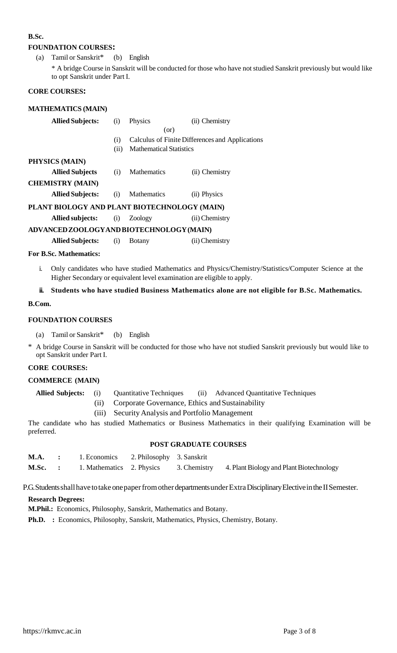## **B.Sc.**

#### **FOUNDATION COURSES:**

(a) Tamil or Sanskrit\* (b) English

\* A bridge Course in Sanskrit will be conducted for those who have not studied Sanskrit previously but would like to opt Sanskrit under Part I.

#### **CORE COURSES:**

## **MATHEMATICS (MAIN)**

| <b>Allied Subjects:</b>                      | (i)  | Physics                        | (ii) Chemistry                                  |
|----------------------------------------------|------|--------------------------------|-------------------------------------------------|
|                                              |      | (or)                           |                                                 |
|                                              | (i)  |                                | Calculus of Finite Differences and Applications |
|                                              | (ii) | <b>Mathematical Statistics</b> |                                                 |
| PHYSICS (MAIN)                               |      |                                |                                                 |
| <b>Allied Subjects</b>                       | (i)  | <b>Mathematics</b>             | (ii) Chemistry                                  |
| <b>CHEMISTRY (MAIN)</b>                      |      |                                |                                                 |
| <b>Allied Subjects:</b>                      | (i)  | <b>Mathematics</b>             | (ii) Physics                                    |
| PLANT BIOLOGY AND PLANT BIOTECHNOLOGY (MAIN) |      |                                |                                                 |
| <b>Allied subjects:</b> (i)                  |      | Zoology                        | (ii) Chemistry                                  |
| ADVANCED ZOOLOGY AND BIOTECHNOLOGY (MAIN)    |      |                                |                                                 |
|                                              |      |                                |                                                 |

**Allied Subjects:** (i) Botany (ii)Chemistry

#### **For B.Sc. Mathematics:**

i. Only candidates who have studied Mathematics and Physics/Chemistry/Statistics/Computer Science at the Higher Secondary or equivalent level examination are eligible to apply.

## **ii. Students who have studied Business Mathematics alone are not eligible for B.Sc. Mathematics.**

#### **B.Com.**

## **FOUNDATION COURSES**

(a) Tamil or Sanskrit\* (b) English

\* A bridge Course in Sanskrit will be conducted for those who have not studied Sanskrit previously but would like to opt Sanskrit under Part I.

## **CORE COURSES:**

#### **COMMERCE (MAIN)**

**Allied Subjects:** (i) Quantitative Techniques (ii) Advanced Quantitative Techniques

- (ii) Corporate Governance, Ethics and Sustainability
- (iii) Security Analysis and Portfolio Management

The candidate who has studied Mathematics or Business Mathematics in their qualifying Examination will be preferred.

#### **POST GRADUATE COURSES**

|  | <b>M.A.</b> : 1. Economics 2. Philosophy 3. Sanskrit |  |                                                                                                |
|--|------------------------------------------------------|--|------------------------------------------------------------------------------------------------|
|  |                                                      |  | <b>M.Sc.</b> : 1. Mathematics 2. Physics 3. Chemistry 4. Plant Biology and Plant Biotechnology |

P.G. Students shall have to take one paper from other departments under Extra Disciplinary Elective in the II Semester.

## **Research Degrees:**

**M.Phil.:** Economics, Philosophy, Sanskrit, Mathematics and Botany.

**Ph.D. :** Economics, Philosophy, Sanskrit, Mathematics, Physics, Chemistry, Botany.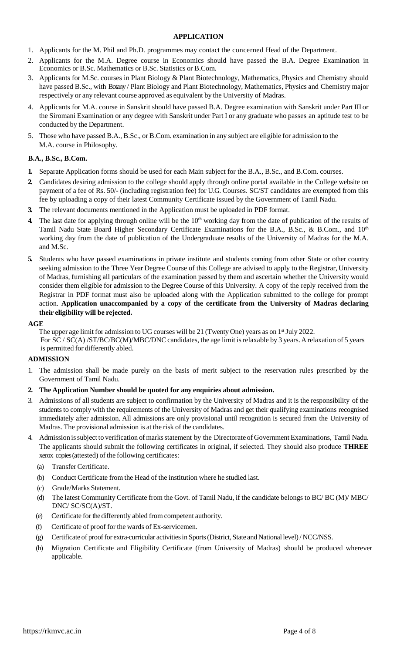## **APPLICATION**

- 1. Applicants for the M. Phil and Ph.D. programmes may contact the concerned Head of the Department.
- 2. Applicants for the M.A. Degree course in Economics should have passed the B.A. Degree Examination in Economics or B.Sc. Mathematics or B.Sc. Statistics or B.Com.
- 3. Applicants for M.Sc. courses in Plant Biology & Plant Biotechnology, Mathematics, Physics and Chemistry should have passed B.Sc., with Botany / Plant Biology and Plant Biotechnology, Mathematics, Physics and Chemistry major respectively or any relevant course approved as equivalent by the University of Madras.
- 4. Applicants for M.A. course in Sanskrit should have passed B.A. Degree examination with Sanskrit under Part III or the Siromani Examination or any degree with Sanskrit under Part I or any graduate who passes an aptitude test to be conducted by the Department.
- 5. Those who have passed B.A., B.Sc., or B.Com. examination in any subject are eligible for admission to the M.A. course in Philosophy.

## **B.A., B.Sc., B.Com.**

- **1.** Separate Application forms should be used for each Main subject for the B.A., B.Sc., and B.Com. courses.
- **2.** Candidates desiring admission to the college should apply through online portal available in the College website on payment of a fee of Rs. 50/- (including registration fee) for U.G. Courses. SC/ST candidates are exempted from this fee by uploading a copy of their latest Community Certificate issued by the Government of Tamil Nadu.
- **3.** The relevant documents mentioned in the Application must be uploaded in PDF format.
- **4.** The last date for applying through online will be the 10<sup>th</sup> working day from the date of publication of the results of Tamil Nadu State Board Higher Secondary Certificate Examinations for the B.A., B.Sc., & B.Com., and 10<sup>th</sup> working day from the date of publication of the Undergraduate results of the University of Madras for the M.A. and M.Sc.
- **5.** Students who have passed examinations in private institute and students coming from other State or other country seeking admission to the Three Year Degree Course of this College are advised to apply to the Registrar, University of Madras, furnishing all particulars of the examination passed by them and ascertain whether the University would consider them eligible for admission to the Degree Course of this University. A copy of the reply received from the Registrar in PDF format must also be uploaded along with the Application submitted to the college for prompt action. **Application unaccompanied by a copy of the certificate from the University of Madras declaring their eligibility will be rejected.**

#### **AGE**

The upper age limit for admission to UG courses will be 21 (Twenty One) years as on 1<sup>st</sup> July 2022. For SC / SC(A) /ST/BC/BC(M)/MBC/DNC candidates, the age limit is relaxable by 3 years. A relaxation of 5 years is permitted for differently abled.

## **ADMISSION**

- 1. The admission shall be made purely on the basis of merit subject to the reservation rules prescribed by the Government of Tamil Nadu.
- **2. The Application Number should be quoted for any enquiries about admission.**
- 3. Admissions of all students are subject to confirmation by the University of Madras and it is the responsibility of the students to comply with the requirements of the University of Madras and get their qualifying examinations recognised immediately after admission. All admissions are only provisional until recognition is secured from the University of Madras. The provisional admission is at the risk of the candidates.
- 4. Admission is subject to verification of marks statement by the Directorate of Government Examinations, Tamil Nadu. The applicants should submit the following certificates in original, if selected. They should also produce **THREE** xerox copies (attested) of the following certificates:
	- (a) Transfer Certificate.
	- (b) Conduct Certificate from the Head of the institution where he studied last.
	- (c) Grade/Marks Statement.
	- (d) The latest Community Certificate from the Govt. of Tamil Nadu, if the candidate belongs to BC/ BC (M)/ MBC/ DNC/ SC/SC(A)/ST.
	- (e) Certificate for the differently abled from competent authority.
	- (f) Certificate of proof for the wards of Ex-servicemen.
	- (g) Certificate of proof for extra-curricular activities in Sports (District, State and National level)/ NCC/NSS.
	- (h) Migration Certificate and Eligibility Certificate (from University of Madras) should be produced wherever applicable.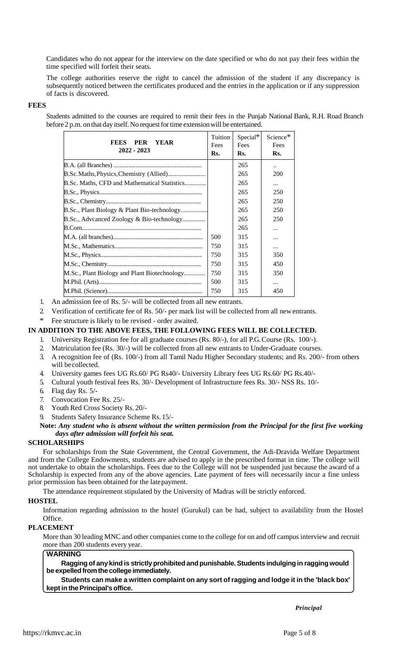Candidates who do not appear for the interview on the date specified or who do not pay their fees within the time specified will forfeit their seats.

The college authorities reserve the right to cancel the admission of the student if any discrepancy is subsequently noticed between the certificates produced and the entries in the application or if any suppression of facts is discovered.

#### **FEES**

Students admitted to the courses are required to remit their fees in the Punjab National Bank, R.H. Road Branch before 2 p.m. on that day itself. No request for time extension will be entertained.

| <b>FEES</b><br><b>PER</b><br><b>YEAR</b><br>2022 - 2023 | Tuition<br>Fees<br>Rs. | Special*<br>Fees<br>Rs. | Science $*$<br>Fees<br>Rs. |
|---------------------------------------------------------|------------------------|-------------------------|----------------------------|
|                                                         |                        | 265                     | $\ddot{\phantom{a}}$       |
|                                                         |                        | 265                     | <b>200</b>                 |
| B.Sc. Maths, CFD and Mathematical Statistics            |                        | 265                     | $\cdots$                   |
|                                                         |                        | 265                     | 250                        |
|                                                         |                        | 265                     | 250                        |
| B.Sc., Plant Biology & Plant Bio-technology             |                        | 265                     | 250                        |
| B.Sc., Adveanced Zoology & Bio-technology               |                        | 265                     | 250                        |
|                                                         |                        | 265                     |                            |
|                                                         | 500                    | 315                     |                            |
|                                                         | 750                    | 315                     | $\cdots$                   |
|                                                         | 750                    | 315                     | 350                        |
|                                                         | 750                    | 315                     | 450                        |
| M.Sc., Plant Biology and Plant Biotechnology            | 750                    | 315                     | 350                        |
|                                                         | 500                    | 315                     | $\cdots$                   |
|                                                         | 750                    | 315                     | 450                        |

1. An admission fee of Rs. 5/- will be collected from all new entrants.

2. Verification of certificate fee of Rs. 50/- per mark list will be collected from all newentrants.

\* Fee structure is likely to be revised - order awaited.

#### **IN ADDITION TO THE ABOVE FEES, THE FOLLOWING FEES WILL BE COLLECTED.**

- 1. University Registration fee for all graduate courses (Rs. 80/-), for all P.G. Course (Rs. 100/-).
- 2. Matriculation fee (Rs. 30/-) will be collected from all new entrants to Under-Graduate courses.
- 3. A recognition fee of (Rs. 100/-) from all Tamil Nadu Higher Secondary students; and Rs. 200/- from others will be collected.
- 4. University games fees UG Rs.60/ PG Rs40/- University Library fees UG Rs.60/ PG Rs.40/-
- 5. Cultural youth festival fees Rs. 30/- Development of Infrastructure fees Rs. 30/- NSS Rs. 10/-
- 6. Flag day Rs. 5/-
- 7. Convocation Fee Rs. 25/-
- 8. Youth Red Cross Society Rs. 20/-
- 9. Students Safety Insurance Scheme Rs.15/-

#### **Note:** *Any student who is absent without the written permission from the Principal for the first five working days after admission will forfeit his seat.*

## **SCHOLARSHIPS**

For scholarships from the State Government, the Central Government, the Adi-Dravida Welfare Department and from the College Endowments, students are advised to apply in the prescribed format in time. The college will not undertake to obtain the scholarships. Fees due to the College will not be suspended just because the award of a Scholarship is expected from any of the above agencies. Late payment of fees will necessarily incur a fine unless prior permission has been obtained for the latepayment.

The attendance requirement stipulated by the University of Madras will be strictly enforced.

#### **HOSTEL**

Information regarding admission to the hostel (Gurukul) can be had, subject to availability from the Hostel Office.

#### **PLACEMENT**

More than 30 leading MNC and other companies come to the college for on and off campus interview and recruit more than 200 students every year.

#### **WARNING**

**Raggingof anykind is strictlyprohibitedand punishable.Students indulging in ragging would be expelledfromthecollege immediately.**

**Students can make a written complaint on any sort of ragging and lodge it in the 'black box' keptin thePrincipal's office.**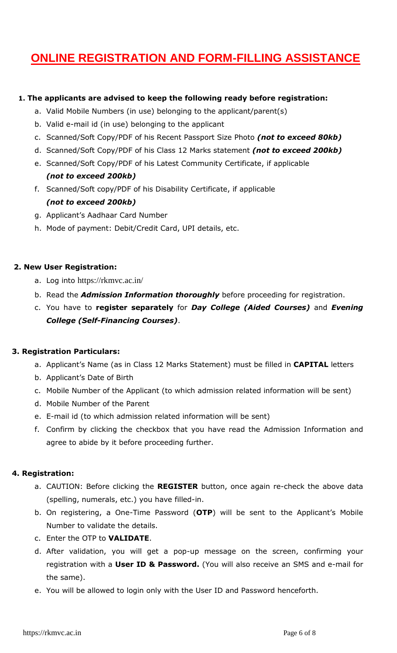# **ONLINE REGISTRATION AND FORM-FILLING ASSISTANCE**

## **1. The applicants are advised to keep the following ready before registration:**

- a. Valid Mobile Numbers (in use) belonging to the applicant/parent(s)
- b. Valid e-mail id (in use) belonging to the applicant
- c. Scanned/Soft Copy/PDF of his Recent Passport Size Photo *(not to exceed 80kb)*
- d. Scanned/Soft Copy/PDF of his Class 12 Marks statement *(not to exceed 200kb)*
- e. Scanned/Soft Copy/PDF of his Latest Community Certificate, if applicable *(not to exceed 200kb)*
- f. Scanned/Soft copy/PDF of his Disability Certificate, if applicable *(not to exceed 200kb)*
- g. Applicant's Aadhaar Card Number
- h. Mode of payment: Debit/Credit Card, UPI details, etc.

## **2. New User Registration:**

- a. Log into <https://rkmvc.ac.in/>
- b. Read the *Admission Information thoroughly* before proceeding for registration.
- c. You have to **register separately** for *Day College (Aided Courses)* and *Evening College (Self-Financing Courses)*.

## **3. Registration Particulars:**

- a. Applicant's Name (as in Class 12 Marks Statement) must be filled in **CAPITAL** letters
- b. Applicant's Date of Birth
- c. Mobile Number of the Applicant (to which admission related information will be sent)
- d. Mobile Number of the Parent
- e. E-mail id (to which admission related information will be sent)
- f. Confirm by clicking the checkbox that you have read the Admission Information and agree to abide by it before proceeding further.

## **4. Registration:**

- a. CAUTION: Before clicking the **REGISTER** button, once again re-check the above data (spelling, numerals, etc.) you have filled-in.
- b. On registering, a One-Time Password (**OTP**) will be sent to the Applicant's Mobile Number to validate the details.
- c. Enter the OTP to **VALIDATE**.
- d. After validation, you will get a pop-up message on the screen, confirming your registration with a **User ID & Password.** (You will also receive an SMS and e-mail for the same).
- e. You will be allowed to login only with the User ID and Password henceforth.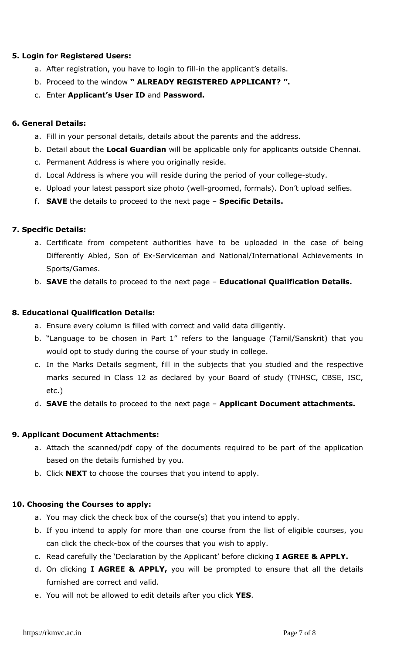## **5. Login for Registered Users:**

- a. After registration, you have to login to fill-in the applicant's details.
- b. Proceed to the window **" ALREADY REGISTERED APPLICANT? ".**
- c. Enter **Applicant's User ID** and **Password.**

## **6. General Details:**

- a. Fill in your personal details, details about the parents and the address.
- b. Detail about the **Local Guardian** will be applicable only for applicants outside Chennai.
- c. Permanent Address is where you originally reside.
- d. Local Address is where you will reside during the period of your college-study.
- e. Upload your latest passport size photo (well-groomed, formals). Don't upload selfies.
- f. **SAVE** the details to proceed to the next page **Specific Details.**

# **7. Specific Details:**

- a. Certificate from competent authorities have to be uploaded in the case of being Differently Abled, Son of Ex-Serviceman and National/International Achievements in Sports/Games.
- b. **SAVE** the details to proceed to the next page **Educational Qualification Details.**

# **8. Educational Qualification Details:**

- a. Ensure every column is filled with correct and valid data diligently.
- b. "Language to be chosen in Part 1" refers to the language (Tamil/Sanskrit) that you would opt to study during the course of your study in college.
- c. In the Marks Details segment, fill in the subjects that you studied and the respective marks secured in Class 12 as declared by your Board of study (TNHSC, CBSE, ISC, etc.)
- d. **SAVE** the details to proceed to the next page **Applicant Document attachments.**

# **9. Applicant Document Attachments:**

- a. Attach the scanned/pdf copy of the documents required to be part of the application based on the details furnished by you.
- b. Click **NEXT** to choose the courses that you intend to apply.

## **10. Choosing the Courses to apply:**

- a. You may click the check box of the course(s) that you intend to apply.
- b. If you intend to apply for more than one course from the list of eligible courses, you can click the check-box of the courses that you wish to apply.
- c. Read carefully the 'Declaration by the Applicant' before clicking **I AGREE & APPLY.**
- d. On clicking **I AGREE & APPLY,** you will be prompted to ensure that all the details furnished are correct and valid.
- e. You will not be allowed to edit details after you click **YES**.